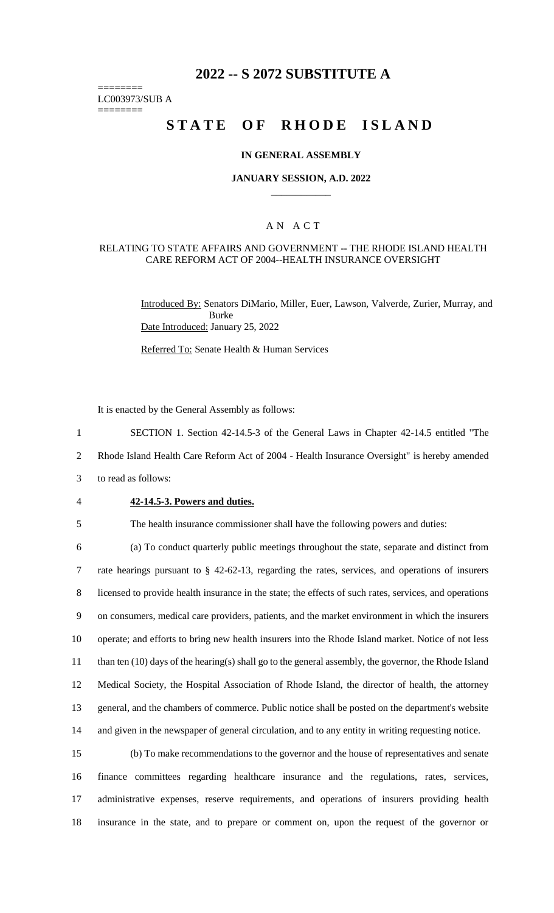# **2022 -- S 2072 SUBSTITUTE A**

======== LC003973/SUB A

========

# **STATE OF RHODE ISLAND**

#### **IN GENERAL ASSEMBLY**

#### **JANUARY SESSION, A.D. 2022 \_\_\_\_\_\_\_\_\_\_\_\_**

## A N A C T

#### RELATING TO STATE AFFAIRS AND GOVERNMENT -- THE RHODE ISLAND HEALTH CARE REFORM ACT OF 2004--HEALTH INSURANCE OVERSIGHT

Introduced By: Senators DiMario, Miller, Euer, Lawson, Valverde, Zurier, Murray, and Burke Date Introduced: January 25, 2022

Referred To: Senate Health & Human Services

It is enacted by the General Assembly as follows:

1 SECTION 1. Section 42-14.5-3 of the General Laws in Chapter 42-14.5 entitled "The

2 Rhode Island Health Care Reform Act of 2004 - Health Insurance Oversight" is hereby amended

- 3 to read as follows:
- 

#### 4 **42-14.5-3. Powers and duties.**

5 The health insurance commissioner shall have the following powers and duties:

 (a) To conduct quarterly public meetings throughout the state, separate and distinct from rate hearings pursuant to § 42-62-13, regarding the rates, services, and operations of insurers licensed to provide health insurance in the state; the effects of such rates, services, and operations on consumers, medical care providers, patients, and the market environment in which the insurers operate; and efforts to bring new health insurers into the Rhode Island market. Notice of not less than ten (10) days of the hearing(s) shall go to the general assembly, the governor, the Rhode Island Medical Society, the Hospital Association of Rhode Island, the director of health, the attorney general, and the chambers of commerce. Public notice shall be posted on the department's website and given in the newspaper of general circulation, and to any entity in writing requesting notice.

 (b) To make recommendations to the governor and the house of representatives and senate finance committees regarding healthcare insurance and the regulations, rates, services, administrative expenses, reserve requirements, and operations of insurers providing health insurance in the state, and to prepare or comment on, upon the request of the governor or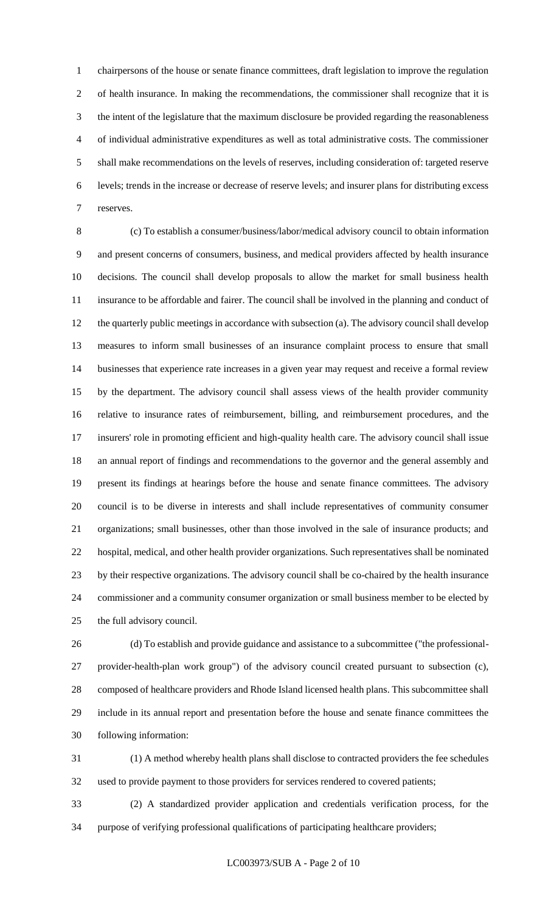chairpersons of the house or senate finance committees, draft legislation to improve the regulation of health insurance. In making the recommendations, the commissioner shall recognize that it is the intent of the legislature that the maximum disclosure be provided regarding the reasonableness of individual administrative expenditures as well as total administrative costs. The commissioner shall make recommendations on the levels of reserves, including consideration of: targeted reserve levels; trends in the increase or decrease of reserve levels; and insurer plans for distributing excess reserves.

 (c) To establish a consumer/business/labor/medical advisory council to obtain information and present concerns of consumers, business, and medical providers affected by health insurance decisions. The council shall develop proposals to allow the market for small business health insurance to be affordable and fairer. The council shall be involved in the planning and conduct of the quarterly public meetings in accordance with subsection (a). The advisory council shall develop measures to inform small businesses of an insurance complaint process to ensure that small businesses that experience rate increases in a given year may request and receive a formal review by the department. The advisory council shall assess views of the health provider community relative to insurance rates of reimbursement, billing, and reimbursement procedures, and the insurers' role in promoting efficient and high-quality health care. The advisory council shall issue an annual report of findings and recommendations to the governor and the general assembly and present its findings at hearings before the house and senate finance committees. The advisory council is to be diverse in interests and shall include representatives of community consumer organizations; small businesses, other than those involved in the sale of insurance products; and hospital, medical, and other health provider organizations. Such representatives shall be nominated by their respective organizations. The advisory council shall be co-chaired by the health insurance commissioner and a community consumer organization or small business member to be elected by the full advisory council.

 (d) To establish and provide guidance and assistance to a subcommittee ("the professional- provider-health-plan work group") of the advisory council created pursuant to subsection (c), composed of healthcare providers and Rhode Island licensed health plans. This subcommittee shall include in its annual report and presentation before the house and senate finance committees the following information:

 (1) A method whereby health plans shall disclose to contracted providers the fee schedules used to provide payment to those providers for services rendered to covered patients;

 (2) A standardized provider application and credentials verification process, for the purpose of verifying professional qualifications of participating healthcare providers;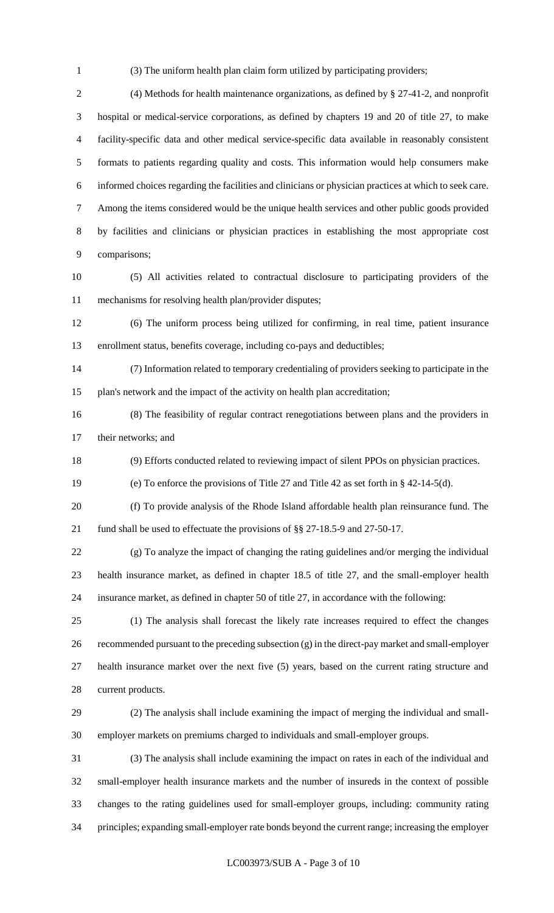(3) The uniform health plan claim form utilized by participating providers;

 (4) Methods for health maintenance organizations, as defined by § 27-41-2, and nonprofit hospital or medical-service corporations, as defined by chapters 19 and 20 of title 27, to make facility-specific data and other medical service-specific data available in reasonably consistent formats to patients regarding quality and costs. This information would help consumers make informed choices regarding the facilities and clinicians or physician practices at which to seek care. Among the items considered would be the unique health services and other public goods provided by facilities and clinicians or physician practices in establishing the most appropriate cost comparisons;

 (5) All activities related to contractual disclosure to participating providers of the mechanisms for resolving health plan/provider disputes;

 (6) The uniform process being utilized for confirming, in real time, patient insurance enrollment status, benefits coverage, including co-pays and deductibles;

 (7) Information related to temporary credentialing of providers seeking to participate in the plan's network and the impact of the activity on health plan accreditation;

 (8) The feasibility of regular contract renegotiations between plans and the providers in their networks; and

(9) Efforts conducted related to reviewing impact of silent PPOs on physician practices.

(e) To enforce the provisions of Title 27 and Title 42 as set forth in § 42-14-5(d).

 (f) To provide analysis of the Rhode Island affordable health plan reinsurance fund. The fund shall be used to effectuate the provisions of §§ 27-18.5-9 and 27-50-17.

 (g) To analyze the impact of changing the rating guidelines and/or merging the individual health insurance market, as defined in chapter 18.5 of title 27, and the small-employer health insurance market, as defined in chapter 50 of title 27, in accordance with the following:

 (1) The analysis shall forecast the likely rate increases required to effect the changes recommended pursuant to the preceding subsection (g) in the direct-pay market and small-employer health insurance market over the next five (5) years, based on the current rating structure and current products.

 (2) The analysis shall include examining the impact of merging the individual and small-employer markets on premiums charged to individuals and small-employer groups.

 (3) The analysis shall include examining the impact on rates in each of the individual and small-employer health insurance markets and the number of insureds in the context of possible changes to the rating guidelines used for small-employer groups, including: community rating principles; expanding small-employer rate bonds beyond the current range; increasing the employer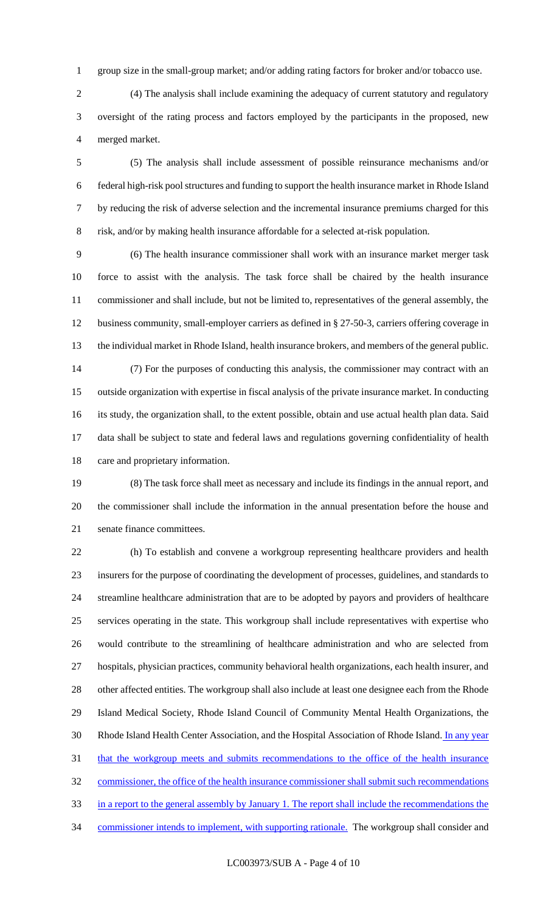group size in the small-group market; and/or adding rating factors for broker and/or tobacco use.

 (4) The analysis shall include examining the adequacy of current statutory and regulatory oversight of the rating process and factors employed by the participants in the proposed, new merged market.

 (5) The analysis shall include assessment of possible reinsurance mechanisms and/or federal high-risk pool structures and funding to support the health insurance market in Rhode Island by reducing the risk of adverse selection and the incremental insurance premiums charged for this risk, and/or by making health insurance affordable for a selected at-risk population.

 (6) The health insurance commissioner shall work with an insurance market merger task force to assist with the analysis. The task force shall be chaired by the health insurance commissioner and shall include, but not be limited to, representatives of the general assembly, the business community, small-employer carriers as defined in § 27-50-3, carriers offering coverage in the individual market in Rhode Island, health insurance brokers, and members of the general public. (7) For the purposes of conducting this analysis, the commissioner may contract with an outside organization with expertise in fiscal analysis of the private insurance market. In conducting its study, the organization shall, to the extent possible, obtain and use actual health plan data. Said data shall be subject to state and federal laws and regulations governing confidentiality of health

care and proprietary information.

 (8) The task force shall meet as necessary and include its findings in the annual report, and the commissioner shall include the information in the annual presentation before the house and senate finance committees.

 (h) To establish and convene a workgroup representing healthcare providers and health insurers for the purpose of coordinating the development of processes, guidelines, and standards to streamline healthcare administration that are to be adopted by payors and providers of healthcare services operating in the state. This workgroup shall include representatives with expertise who would contribute to the streamlining of healthcare administration and who are selected from hospitals, physician practices, community behavioral health organizations, each health insurer, and other affected entities. The workgroup shall also include at least one designee each from the Rhode Island Medical Society, Rhode Island Council of Community Mental Health Organizations, the 30 Rhode Island Health Center Association, and the Hospital Association of Rhode Island. In any year 31 that the workgroup meets and submits recommendations to the office of the health insurance commissioner, the office of the health insurance commissioner shall submit such recommendations in a report to the general assembly by January 1. The report shall include the recommendations the 34 commissioner intends to implement, with supporting rationale. The workgroup shall consider and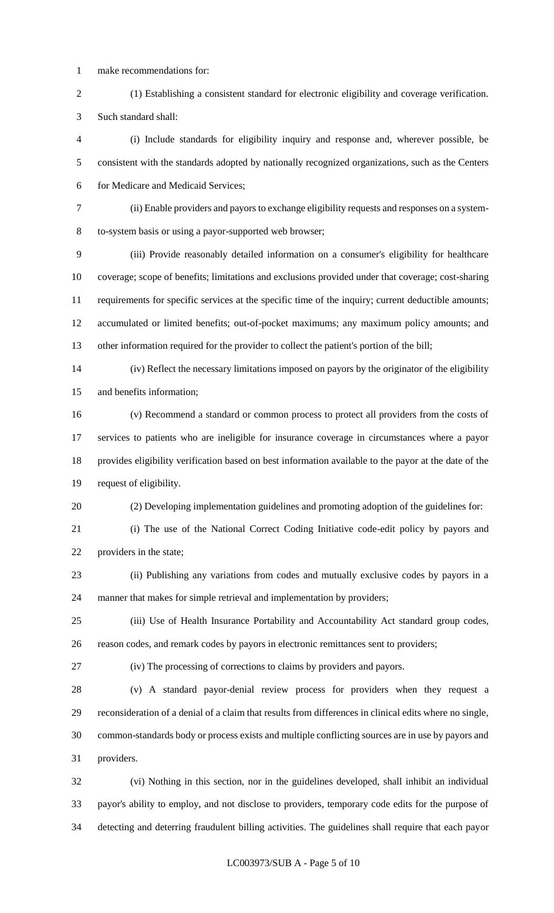- make recommendations for:
- (1) Establishing a consistent standard for electronic eligibility and coverage verification. Such standard shall:

 (i) Include standards for eligibility inquiry and response and, wherever possible, be consistent with the standards adopted by nationally recognized organizations, such as the Centers for Medicare and Medicaid Services;

 (ii) Enable providers and payors to exchange eligibility requests and responses on a system-to-system basis or using a payor-supported web browser;

 (iii) Provide reasonably detailed information on a consumer's eligibility for healthcare coverage; scope of benefits; limitations and exclusions provided under that coverage; cost-sharing requirements for specific services at the specific time of the inquiry; current deductible amounts; accumulated or limited benefits; out-of-pocket maximums; any maximum policy amounts; and other information required for the provider to collect the patient's portion of the bill;

 (iv) Reflect the necessary limitations imposed on payors by the originator of the eligibility and benefits information;

 (v) Recommend a standard or common process to protect all providers from the costs of services to patients who are ineligible for insurance coverage in circumstances where a payor provides eligibility verification based on best information available to the payor at the date of the request of eligibility.

(2) Developing implementation guidelines and promoting adoption of the guidelines for:

 (i) The use of the National Correct Coding Initiative code-edit policy by payors and providers in the state;

- (ii) Publishing any variations from codes and mutually exclusive codes by payors in a manner that makes for simple retrieval and implementation by providers;
- (iii) Use of Health Insurance Portability and Accountability Act standard group codes, reason codes, and remark codes by payors in electronic remittances sent to providers;

(iv) The processing of corrections to claims by providers and payors.

 (v) A standard payor-denial review process for providers when they request a reconsideration of a denial of a claim that results from differences in clinical edits where no single, common-standards body or process exists and multiple conflicting sources are in use by payors and providers.

 (vi) Nothing in this section, nor in the guidelines developed, shall inhibit an individual payor's ability to employ, and not disclose to providers, temporary code edits for the purpose of detecting and deterring fraudulent billing activities. The guidelines shall require that each payor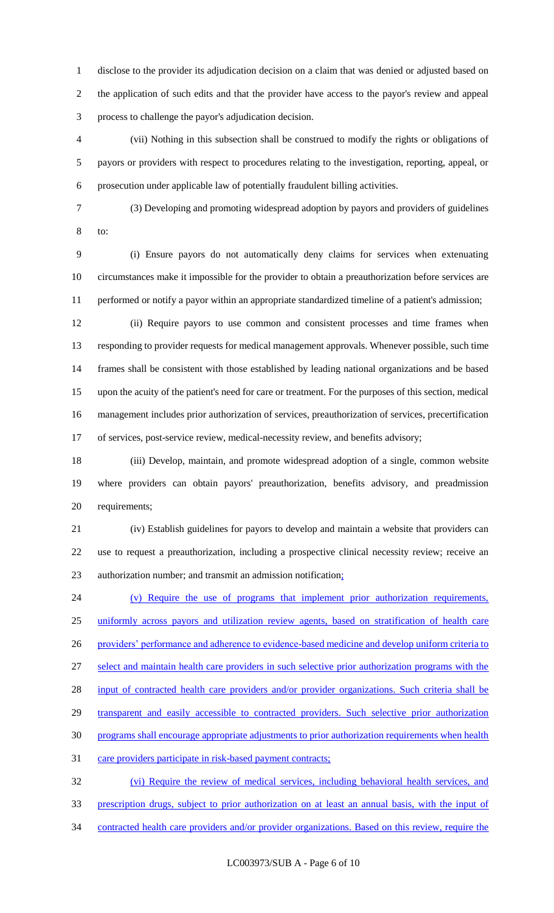disclose to the provider its adjudication decision on a claim that was denied or adjusted based on the application of such edits and that the provider have access to the payor's review and appeal process to challenge the payor's adjudication decision.

 (vii) Nothing in this subsection shall be construed to modify the rights or obligations of payors or providers with respect to procedures relating to the investigation, reporting, appeal, or prosecution under applicable law of potentially fraudulent billing activities.

 (3) Developing and promoting widespread adoption by payors and providers of guidelines to:

 (i) Ensure payors do not automatically deny claims for services when extenuating circumstances make it impossible for the provider to obtain a preauthorization before services are performed or notify a payor within an appropriate standardized timeline of a patient's admission;

 (ii) Require payors to use common and consistent processes and time frames when responding to provider requests for medical management approvals. Whenever possible, such time frames shall be consistent with those established by leading national organizations and be based upon the acuity of the patient's need for care or treatment. For the purposes of this section, medical management includes prior authorization of services, preauthorization of services, precertification of services, post-service review, medical-necessity review, and benefits advisory;

 (iii) Develop, maintain, and promote widespread adoption of a single, common website where providers can obtain payors' preauthorization, benefits advisory, and preadmission requirements;

 (iv) Establish guidelines for payors to develop and maintain a website that providers can use to request a preauthorization, including a prospective clinical necessity review; receive an authorization number; and transmit an admission notification;

 (v) Require the use of programs that implement prior authorization requirements, uniformly across payors and utilization review agents, based on stratification of health care 26 providers' performance and adherence to evidence-based medicine and develop uniform criteria to select and maintain health care providers in such selective prior authorization programs with the 28 input of contracted health care providers and/or provider organizations. Such criteria shall be 29 transparent and easily accessible to contracted providers. Such selective prior authorization programs shall encourage appropriate adjustments to prior authorization requirements when health 31 care providers participate in risk-based payment contracts; (vi) Require the review of medical services, including behavioral health services, and

prescription drugs, subject to prior authorization on at least an annual basis, with the input of

contracted health care providers and/or provider organizations. Based on this review, require the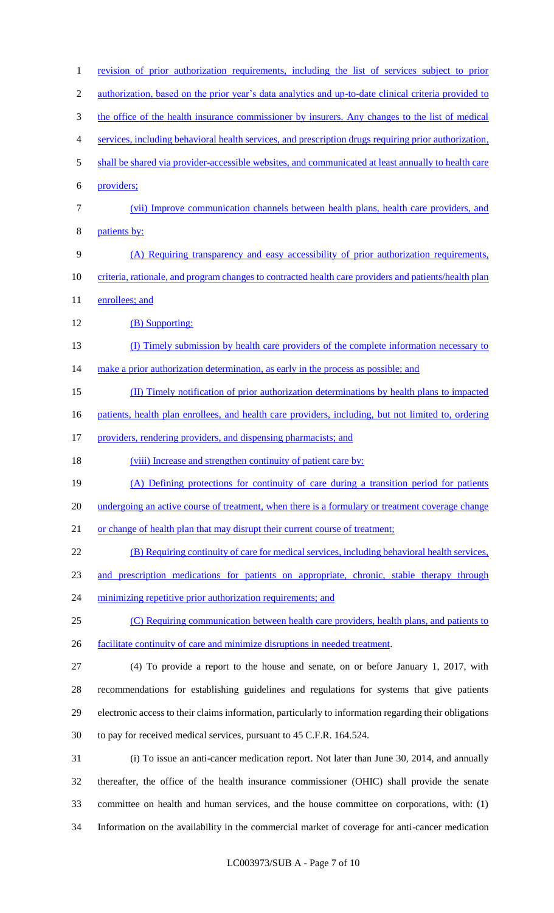| $\mathbf{1}$   | revision of prior authorization requirements, including the list of services subject to prior          |
|----------------|--------------------------------------------------------------------------------------------------------|
| $\overline{2}$ | authorization, based on the prior year's data analytics and up-to-date clinical criteria provided to   |
| 3              | the office of the health insurance commissioner by insurers. Any changes to the list of medical        |
| 4              | services, including behavioral health services, and prescription drugs requiring prior authorization,  |
| 5              | shall be shared via provider-accessible websites, and communicated at least annually to health care    |
| 6              | providers;                                                                                             |
| $\tau$         | (vii) Improve communication channels between health plans, health care providers, and                  |
| 8              | patients by:                                                                                           |
| 9              | (A) Requiring transparency and easy accessibility of prior authorization requirements,                 |
| 10             | criteria, rationale, and program changes to contracted health care providers and patients/health plan  |
| 11             | enrollees; and                                                                                         |
| 12             | (B) Supporting:                                                                                        |
| 13             | (I) Timely submission by health care providers of the complete information necessary to                |
| 14             | make a prior authorization determination, as early in the process as possible; and                     |
| 15             | (II) Timely notification of prior authorization determinations by health plans to impacted             |
| 16             | patients, health plan enrollees, and health care providers, including, but not limited to, ordering    |
| 17             | providers, rendering providers, and dispensing pharmacists; and                                        |
| 18             | (viii) Increase and strengthen continuity of patient care by:                                          |
| 19             | (A) Defining protections for continuity of care during a transition period for patients                |
| 20             | undergoing an active course of treatment, when there is a formulary or treatment coverage change       |
| 21             | or change of health plan that may disrupt their current course of treatment;                           |
| 22             | (B) Requiring continuity of care for medical services, including behavioral health services,           |
| 23             | and prescription medications for patients on appropriate, chronic, stable therapy through              |
| 24             | minimizing repetitive prior authorization requirements; and                                            |
| 25             | (C) Requiring communication between health care providers, health plans, and patients to               |
| 26             | facilitate continuity of care and minimize disruptions in needed treatment.                            |
| 27             | (4) To provide a report to the house and senate, on or before January 1, 2017, with                    |
| 28             | recommendations for establishing guidelines and regulations for systems that give patients             |
| 29             | electronic access to their claims information, particularly to information regarding their obligations |
| 30             | to pay for received medical services, pursuant to 45 C.F.R. 164.524.                                   |
| 31             | (i) To issue an anti-cancer medication report. Not later than June 30, 2014, and annually              |
| 32             | thereafter, the office of the health insurance commissioner (OHIC) shall provide the senate            |
| 33             | committee on health and human services, and the house committee on corporations, with: (1)             |
| 34             | Information on the availability in the commercial market of coverage for anti-cancer medication        |
|                |                                                                                                        |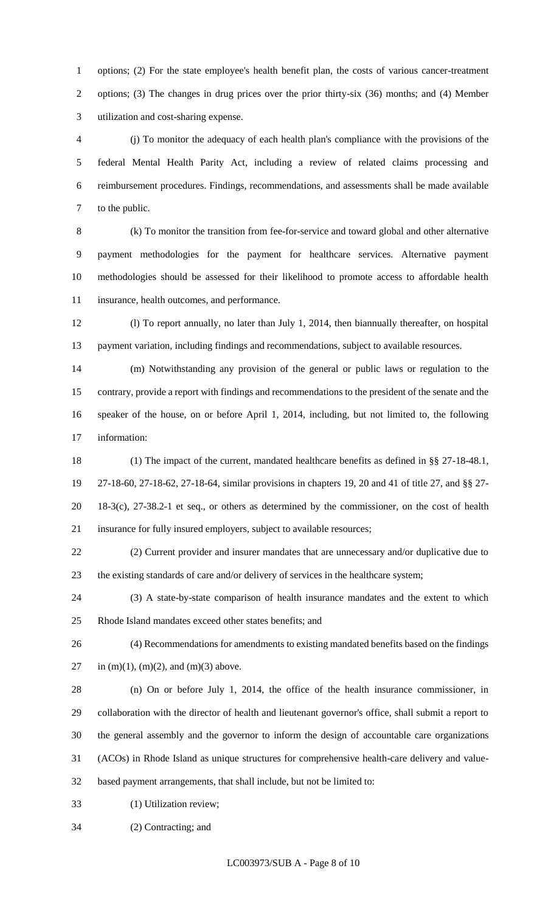options; (2) For the state employee's health benefit plan, the costs of various cancer-treatment options; (3) The changes in drug prices over the prior thirty-six (36) months; and (4) Member utilization and cost-sharing expense.

 (j) To monitor the adequacy of each health plan's compliance with the provisions of the federal Mental Health Parity Act, including a review of related claims processing and reimbursement procedures. Findings, recommendations, and assessments shall be made available to the public.

 (k) To monitor the transition from fee-for-service and toward global and other alternative payment methodologies for the payment for healthcare services. Alternative payment methodologies should be assessed for their likelihood to promote access to affordable health insurance, health outcomes, and performance.

 (l) To report annually, no later than July 1, 2014, then biannually thereafter, on hospital payment variation, including findings and recommendations, subject to available resources.

 (m) Notwithstanding any provision of the general or public laws or regulation to the contrary, provide a report with findings and recommendations to the president of the senate and the speaker of the house, on or before April 1, 2014, including, but not limited to, the following information:

 (1) The impact of the current, mandated healthcare benefits as defined in §§ 27-18-48.1, 27-18-60, 27-18-62, 27-18-64, similar provisions in chapters 19, 20 and 41 of title 27, and §§ 27- 18-3(c), 27-38.2-1 et seq., or others as determined by the commissioner, on the cost of health insurance for fully insured employers, subject to available resources;

 (2) Current provider and insurer mandates that are unnecessary and/or duplicative due to the existing standards of care and/or delivery of services in the healthcare system;

 (3) A state-by-state comparison of health insurance mandates and the extent to which Rhode Island mandates exceed other states benefits; and

 (4) Recommendations for amendments to existing mandated benefits based on the findings 27 in  $(m)(1)$ ,  $(m)(2)$ , and  $(m)(3)$  above.

 (n) On or before July 1, 2014, the office of the health insurance commissioner, in collaboration with the director of health and lieutenant governor's office, shall submit a report to the general assembly and the governor to inform the design of accountable care organizations (ACOs) in Rhode Island as unique structures for comprehensive health-care delivery and value-based payment arrangements, that shall include, but not be limited to:

(1) Utilization review;

(2) Contracting; and

LC003973/SUB A - Page 8 of 10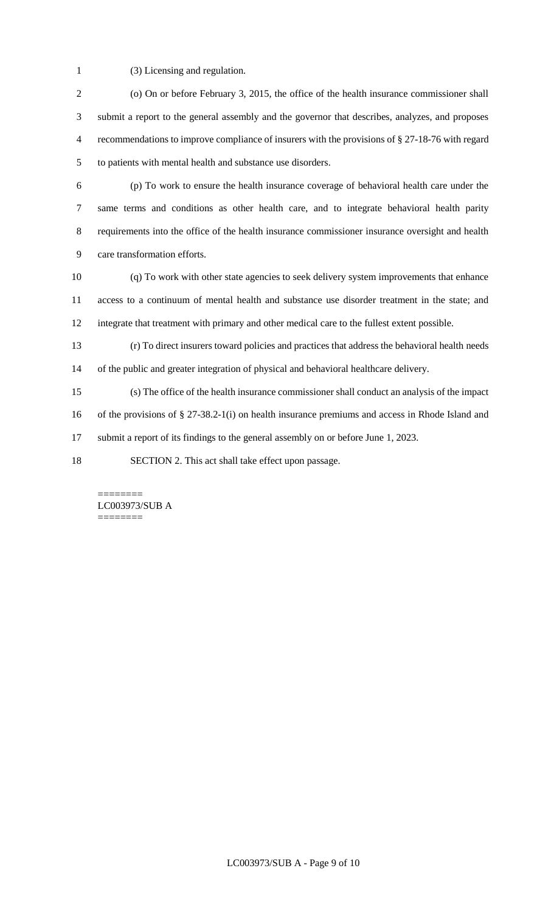(3) Licensing and regulation.

2 (o) On or before February 3, 2015, the office of the health insurance commissioner shall submit a report to the general assembly and the governor that describes, analyzes, and proposes recommendations to improve compliance of insurers with the provisions of § 27-18-76 with regard to patients with mental health and substance use disorders.

 (p) To work to ensure the health insurance coverage of behavioral health care under the same terms and conditions as other health care, and to integrate behavioral health parity requirements into the office of the health insurance commissioner insurance oversight and health care transformation efforts.

 (q) To work with other state agencies to seek delivery system improvements that enhance access to a continuum of mental health and substance use disorder treatment in the state; and integrate that treatment with primary and other medical care to the fullest extent possible.

 (r) To direct insurers toward policies and practices that address the behavioral health needs of the public and greater integration of physical and behavioral healthcare delivery.

 (s) The office of the health insurance commissioner shall conduct an analysis of the impact of the provisions of § 27-38.2-1(i) on health insurance premiums and access in Rhode Island and

submit a report of its findings to the general assembly on or before June 1, 2023.

SECTION 2. This act shall take effect upon passage.

======== LC003973/SUB A ========